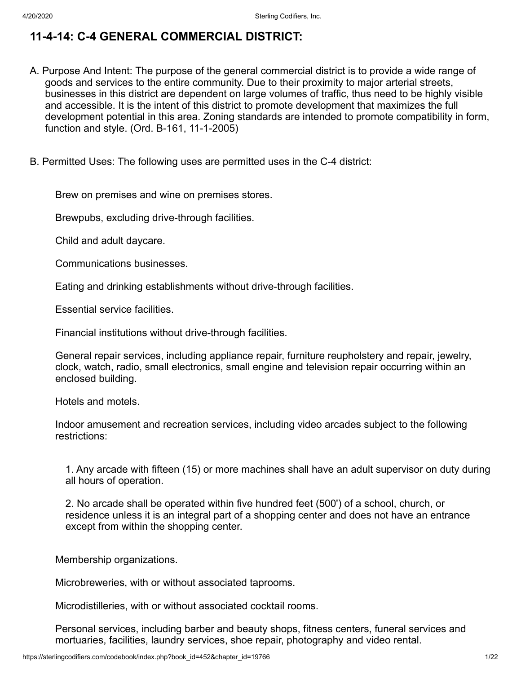# **11-4-14: C-4 GENERAL COMMERCIAL DISTRICT:**

- A. Purpose And Intent: The purpose of the general commercial district is to provide a wide range of goods and services to the entire community. Due to their proximity to major arterial streets, businesses in this district are dependent on large volumes of traffic, thus need to be highly visible and accessible. It is the intent of this district to promote development that maximizes the full development potential in this area. Zoning standards are intended to promote compatibility in form, function and style. (Ord. B-161, 11-1-2005)
- B. Permitted Uses: The following uses are permitted uses in the C-4 district:

Brew on premises and wine on premises stores.

Brewpubs, excluding drive-through facilities.

Child and adult daycare.

Communications businesses.

Eating and drinking establishments without drive-through facilities.

Essential service facilities.

Financial institutions without drive-through facilities.

General repair services, including appliance repair, furniture reupholstery and repair, jewelry, clock, watch, radio, small electronics, small engine and television repair occurring within an enclosed building.

Hotels and motels.

Indoor amusement and recreation services, including video arcades subject to the following restrictions:

1. Any arcade with fifteen (15) or more machines shall have an adult supervisor on duty during all hours of operation.

2. No arcade shall be operated within five hundred feet (500') of a school, church, or residence unless it is an integral part of a shopping center and does not have an entrance except from within the shopping center.

Membership organizations.

Microbreweries, with or without associated taprooms.

Microdistilleries, with or without associated cocktail rooms.

Personal services, including barber and beauty shops, fitness centers, funeral services and mortuaries, facilities, laundry services, shoe repair, photography and video rental.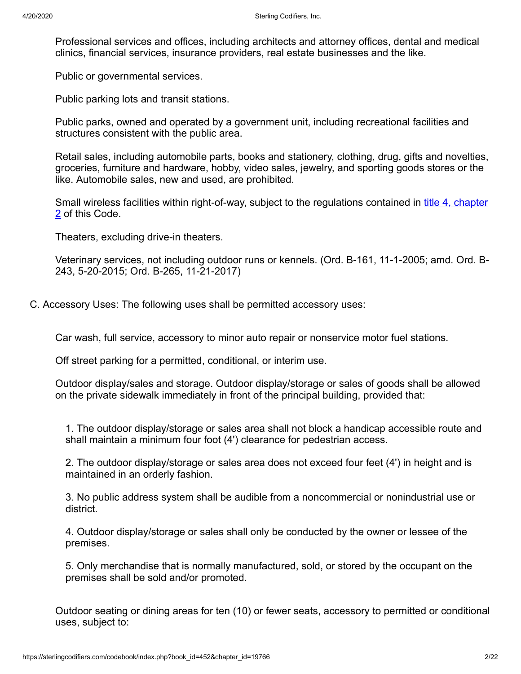Professional services and offices, including architects and attorney offices, dental and medical clinics, financial services, insurance providers, real estate businesses and the like.

Public or governmental services.

Public parking lots and transit stations.

Public parks, owned and operated by a government unit, including recreational facilities and structures consistent with the public area.

Retail sales, including automobile parts, books and stationery, clothing, drug, gifts and novelties, groceries, furniture and hardware, hobby, video sales, jewelry, and sporting goods stores or the like. Automobile sales, new and used, are prohibited.

[Small wireless facilities within right-of-way, subject to the regulations contained in title 4, chapter](https://sterlingcodifiers.com/codebook/printnow.php?ft=4&find=4-2) 2 of this Code.

Theaters, excluding drive-in theaters.

Veterinary services, not including outdoor runs or kennels. (Ord. B-161, 11-1-2005; amd. Ord. B-243, 5-20-2015; Ord. B-265, 11-21-2017)

C. Accessory Uses: The following uses shall be permitted accessory uses:

Car wash, full service, accessory to minor auto repair or nonservice motor fuel stations.

Off street parking for a permitted, conditional, or interim use.

Outdoor display/sales and storage. Outdoor display/storage or sales of goods shall be allowed on the private sidewalk immediately in front of the principal building, provided that:

1. The outdoor display/storage or sales area shall not block a handicap accessible route and shall maintain a minimum four foot (4') clearance for pedestrian access.

2. The outdoor display/storage or sales area does not exceed four feet (4') in height and is maintained in an orderly fashion.

3. No public address system shall be audible from a noncommercial or nonindustrial use or district.

4. Outdoor display/storage or sales shall only be conducted by the owner or lessee of the premises.

5. Only merchandise that is normally manufactured, sold, or stored by the occupant on the premises shall be sold and/or promoted.

Outdoor seating or dining areas for ten (10) or fewer seats, accessory to permitted or conditional uses, subject to: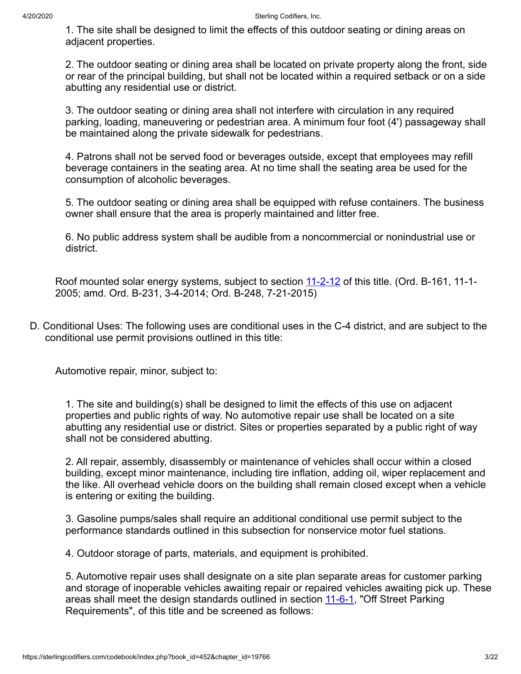1. The site shall be designed to limit the effects of this outdoor seating or dining areas on adjacent properties.

2. The outdoor seating or dining area shall be located on private property along the front, side or rear of the principal building, but shall not be located within a required setback or on a side abutting any residential use or district.

3. The outdoor seating or dining area shall not interfere with circulation in any required parking, loading, maneuvering or pedestrian area. A minimum four foot (4') passageway shall be maintained along the private sidewalk for pedestrians.

4. Patrons shall not be served food or beverages outside, except that employees may refill beverage containers in the seating area. At no time shall the seating area be used for the consumption of alcoholic beverages.

5. The outdoor seating or dining area shall be equipped with refuse containers. The business owner shall ensure that the area is properly maintained and litter free.

6. No public address system shall be audible from a noncommercial or nonindustrial use or district.

Roof mounted solar energy systems, subject to section [11-2-12](https://sterlingcodifiers.com/codebook/printnow.php?ft=3&find=11-2-12) of this title. (Ord. B-161, 11-1-2005; amd. Ord. B-231, 3-4-2014; Ord. B-248, 7-21-2015)

D. Conditional Uses: The following uses are conditional uses in the C-4 district, and are subject to the conditional use permit provisions outlined in this title:

Automotive repair, minor, subject to:

1. The site and building(s) shall be designed to limit the effects of this use on adjacent properties and public rights of way. No automotive repair use shall be located on a site abutting any residential use or district. Sites or properties separated by a public right of way shall not be considered abutting.

2. All repair, assembly, disassembly or maintenance of vehicles shall occur within a closed building, except minor maintenance, including tire inflation, adding oil, wiper replacement and the like. All overhead vehicle doors on the building shall remain closed except when a vehicle is entering or exiting the building.

3. Gasoline pumps/sales shall require an additional conditional use permit subject to the performance standards outlined in this subsection for nonservice motor fuel stations.

4. Outdoor storage of parts, materials, and equipment is prohibited.

5. Automotive repair uses shall designate on a site plan separate areas for customer parking and storage of inoperable vehicles awaiting repair or repaired vehicles awaiting pick up. These areas shall meet the design standards outlined in section [11-6-1](https://sterlingcodifiers.com/codebook/printnow.php?ft=3&find=11-6-1), "Off Street Parking Requirements", of this title and be screened as follows: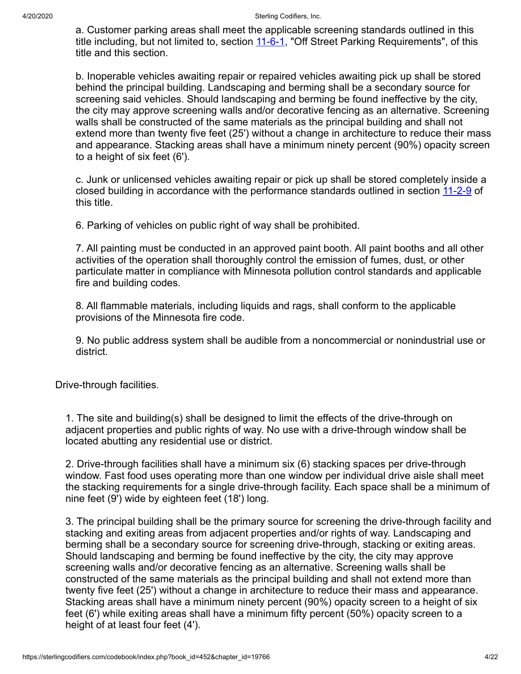a. Customer parking areas shall meet the applicable screening standards outlined in this title including, but not limited to, section [11-6-1,](https://sterlingcodifiers.com/codebook/printnow.php?ft=3&find=11-6-1) "Off Street Parking Requirements", of this title and this section.

b. Inoperable vehicles awaiting repair or repaired vehicles awaiting pick up shall be stored behind the principal building. Landscaping and berming shall be a secondary source for screening said vehicles. Should landscaping and berming be found ineffective by the city, the city may approve screening walls and/or decorative fencing as an alternative. Screening walls shall be constructed of the same materials as the principal building and shall not extend more than twenty five feet (25') without a change in architecture to reduce their mass and appearance. Stacking areas shall have a minimum ninety percent (90%) opacity screen to a height of six feet (6').

c. Junk or unlicensed vehicles awaiting repair or pick up shall be stored completely inside a closed building in accordance with the performance standards outlined in section [11-2-9](https://sterlingcodifiers.com/codebook/printnow.php?ft=3&find=11-2-9) of this title.

6. Parking of vehicles on public right of way shall be prohibited.

7. All painting must be conducted in an approved paint booth. All paint booths and all other activities of the operation shall thoroughly control the emission of fumes, dust, or other particulate matter in compliance with Minnesota pollution control standards and applicable fire and building codes.

8. All flammable materials, including liquids and rags, shall conform to the applicable provisions of the Minnesota fire code.

9. No public address system shall be audible from a noncommercial or nonindustrial use or district.

Drive-through facilities.

1. The site and building(s) shall be designed to limit the effects of the drive-through on adjacent properties and public rights of way. No use with a drive-through window shall be located abutting any residential use or district.

2. Drive-through facilities shall have a minimum six (6) stacking spaces per drive-through window. Fast food uses operating more than one window per individual drive aisle shall meet the stacking requirements for a single drive-through facility. Each space shall be a minimum of nine feet (9') wide by eighteen feet (18') long.

3. The principal building shall be the primary source for screening the drive-through facility and stacking and exiting areas from adjacent properties and/or rights of way. Landscaping and berming shall be a secondary source for screening drive-through, stacking or exiting areas. Should landscaping and berming be found ineffective by the city, the city may approve screening walls and/or decorative fencing as an alternative. Screening walls shall be constructed of the same materials as the principal building and shall not extend more than twenty five feet (25') without a change in architecture to reduce their mass and appearance. Stacking areas shall have a minimum ninety percent (90%) opacity screen to a height of six feet (6') while exiting areas shall have a minimum fifty percent (50%) opacity screen to a height of at least four feet (4').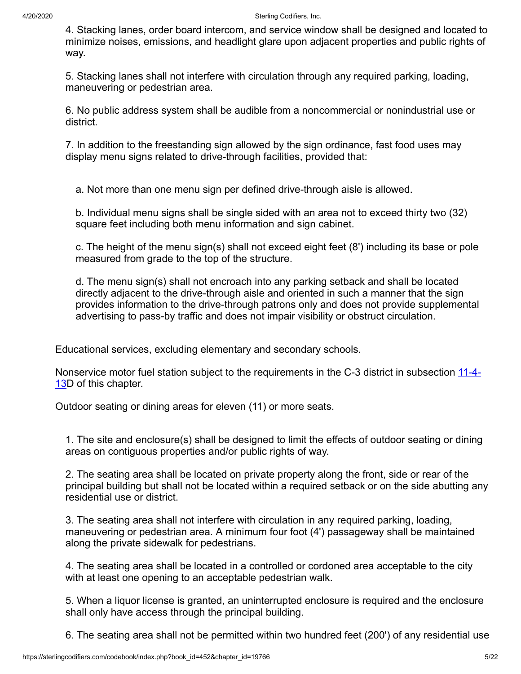4. Stacking lanes, order board intercom, and service window shall be designed and located to minimize noises, emissions, and headlight glare upon adjacent properties and public rights of way.

5. Stacking lanes shall not interfere with circulation through any required parking, loading, maneuvering or pedestrian area.

6. No public address system shall be audible from a noncommercial or nonindustrial use or district.

7. In addition to the freestanding sign allowed by the sign ordinance, fast food uses may display menu signs related to drive-through facilities, provided that:

a. Not more than one menu sign per defined drive-through aisle is allowed.

b. Individual menu signs shall be single sided with an area not to exceed thirty two (32) square feet including both menu information and sign cabinet.

c. The height of the menu sign(s) shall not exceed eight feet (8') including its base or pole measured from grade to the top of the structure.

d. The menu sign(s) shall not encroach into any parking setback and shall be located directly adjacent to the drive-through aisle and oriented in such a manner that the sign provides information to the drive-through patrons only and does not provide supplemental advertising to pass-by traffic and does not impair visibility or obstruct circulation.

Educational services, excluding elementary and secondary schools.

[Nonservice motor fuel station subject to the requirements in the C-3 district in subsection 11-4-](https://sterlingcodifiers.com/codebook/printnow.php?ft=3&find=11-4-13) 13D of this chapter.

Outdoor seating or dining areas for eleven (11) or more seats.

1. The site and enclosure(s) shall be designed to limit the effects of outdoor seating or dining areas on contiguous properties and/or public rights of way.

2. The seating area shall be located on private property along the front, side or rear of the principal building but shall not be located within a required setback or on the side abutting any residential use or district.

3. The seating area shall not interfere with circulation in any required parking, loading, maneuvering or pedestrian area. A minimum four foot (4') passageway shall be maintained along the private sidewalk for pedestrians.

4. The seating area shall be located in a controlled or cordoned area acceptable to the city with at least one opening to an acceptable pedestrian walk.

5. When a liquor license is granted, an uninterrupted enclosure is required and the enclosure shall only have access through the principal building.

6. The seating area shall not be permitted within two hundred feet (200') of any residential use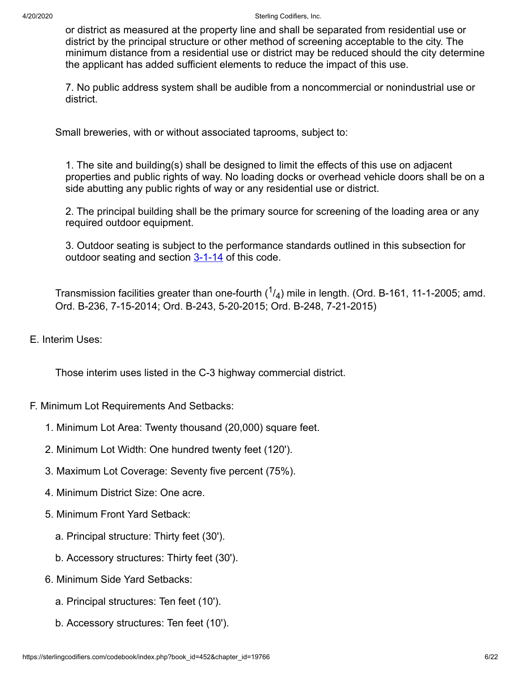or district as measured at the property line and shall be separated from residential use or district by the principal structure or other method of screening acceptable to the city. The minimum distance from a residential use or district may be reduced should the city determine the applicant has added sufficient elements to reduce the impact of this use.

7. No public address system shall be audible from a noncommercial or nonindustrial use or district.

Small breweries, with or without associated taprooms, subject to:

1. The site and building(s) shall be designed to limit the effects of this use on adjacent properties and public rights of way. No loading docks or overhead vehicle doors shall be on a side abutting any public rights of way or any residential use or district.

2. The principal building shall be the primary source for screening of the loading area or any required outdoor equipment.

3. Outdoor seating is subject to the performance standards outlined in this subsection for outdoor seating and section  $3-1-14$  of this code.

Transmission facilities greater than one-fourth ( $^{1}\!/_4)$  mile in length. (Ord. B-161, 11-1-2005; amd. Ord. B-236, 7-15-2014; Ord. B-243, 5-20-2015; Ord. B-248, 7-21-2015)

E. Interim Uses:

Those interim uses listed in the C-3 highway commercial district.

- F. Minimum Lot Requirements And Setbacks:
	- 1. Minimum Lot Area: Twenty thousand (20,000) square feet.
	- 2. Minimum Lot Width: One hundred twenty feet (120').
	- 3. Maximum Lot Coverage: Seventy five percent (75%).
	- 4. Minimum District Size: One acre.
	- 5. Minimum Front Yard Setback:
		- a. Principal structure: Thirty feet (30').
		- b. Accessory structures: Thirty feet (30').
	- 6. Minimum Side Yard Setbacks:
		- a. Principal structures: Ten feet (10').
		- b. Accessory structures: Ten feet (10').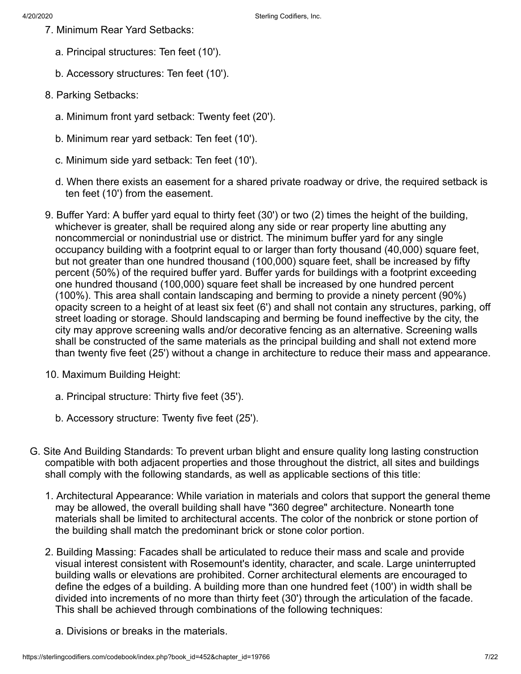- 7. Minimum Rear Yard Setbacks:
	- a. Principal structures: Ten feet (10').
	- b. Accessory structures: Ten feet (10').
- 8. Parking Setbacks:
	- a. Minimum front yard setback: Twenty feet (20').
	- b. Minimum rear yard setback: Ten feet (10').
	- c. Minimum side yard setback: Ten feet (10').
	- d. When there exists an easement for a shared private roadway or drive, the required setback is ten feet (10') from the easement.
- 9. Buffer Yard: A buffer yard equal to thirty feet (30') or two (2) times the height of the building, whichever is greater, shall be required along any side or rear property line abutting any noncommercial or nonindustrial use or district. The minimum buffer yard for any single occupancy building with a footprint equal to or larger than forty thousand (40,000) square feet, but not greater than one hundred thousand (100,000) square feet, shall be increased by fifty percent (50%) of the required buffer yard. Buffer yards for buildings with a footprint exceeding one hundred thousand (100,000) square feet shall be increased by one hundred percent (100%). This area shall contain landscaping and berming to provide a ninety percent (90%) opacity screen to a height of at least six feet (6') and shall not contain any structures, parking, off street loading or storage. Should landscaping and berming be found ineffective by the city, the city may approve screening walls and/or decorative fencing as an alternative. Screening walls shall be constructed of the same materials as the principal building and shall not extend more than twenty five feet (25') without a change in architecture to reduce their mass and appearance.
- 10. Maximum Building Height:
	- a. Principal structure: Thirty five feet (35').
	- b. Accessory structure: Twenty five feet (25').
- G. Site And Building Standards: To prevent urban blight and ensure quality long lasting construction compatible with both adjacent properties and those throughout the district, all sites and buildings shall comply with the following standards, as well as applicable sections of this title:
	- 1. Architectural Appearance: While variation in materials and colors that support the general theme may be allowed, the overall building shall have "360 degree" architecture. Nonearth tone materials shall be limited to architectural accents. The color of the nonbrick or stone portion of the building shall match the predominant brick or stone color portion.
	- 2. Building Massing: Facades shall be articulated to reduce their mass and scale and provide visual interest consistent with Rosemount's identity, character, and scale. Large uninterrupted building walls or elevations are prohibited. Corner architectural elements are encouraged to define the edges of a building. A building more than one hundred feet (100') in width shall be divided into increments of no more than thirty feet (30') through the articulation of the facade. This shall be achieved through combinations of the following techniques:
		- a. Divisions or breaks in the materials.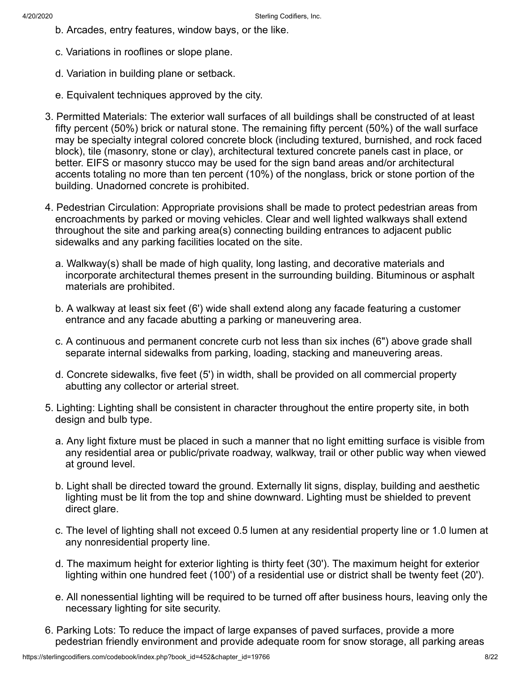- b. Arcades, entry features, window bays, or the like.
- c. Variations in rooflines or slope plane.
- d. Variation in building plane or setback.
- e. Equivalent techniques approved by the city.
- 3. Permitted Materials: The exterior wall surfaces of all buildings shall be constructed of at least fifty percent (50%) brick or natural stone. The remaining fifty percent (50%) of the wall surface may be specialty integral colored concrete block (including textured, burnished, and rock faced block), tile (masonry, stone or clay), architectural textured concrete panels cast in place, or better. EIFS or masonry stucco may be used for the sign band areas and/or architectural accents totaling no more than ten percent (10%) of the nonglass, brick or stone portion of the building. Unadorned concrete is prohibited.
- 4. Pedestrian Circulation: Appropriate provisions shall be made to protect pedestrian areas from encroachments by parked or moving vehicles. Clear and well lighted walkways shall extend throughout the site and parking area(s) connecting building entrances to adjacent public sidewalks and any parking facilities located on the site.
	- a. Walkway(s) shall be made of high quality, long lasting, and decorative materials and incorporate architectural themes present in the surrounding building. Bituminous or asphalt materials are prohibited.
	- b. A walkway at least six feet (6') wide shall extend along any facade featuring a customer entrance and any facade abutting a parking or maneuvering area.
	- c. A continuous and permanent concrete curb not less than six inches (6") above grade shall separate internal sidewalks from parking, loading, stacking and maneuvering areas.
	- d. Concrete sidewalks, five feet (5') in width, shall be provided on all commercial property abutting any collector or arterial street.
- 5. Lighting: Lighting shall be consistent in character throughout the entire property site, in both design and bulb type.
	- a. Any light fixture must be placed in such a manner that no light emitting surface is visible from any residential area or public/private roadway, walkway, trail or other public way when viewed at ground level.
	- b. Light shall be directed toward the ground. Externally lit signs, display, building and aesthetic lighting must be lit from the top and shine downward. Lighting must be shielded to prevent direct glare.
	- c. The level of lighting shall not exceed 0.5 lumen at any residential property line or 1.0 lumen at any nonresidential property line.
	- d. The maximum height for exterior lighting is thirty feet (30'). The maximum height for exterior lighting within one hundred feet (100') of a residential use or district shall be twenty feet (20').
	- e. All nonessential lighting will be required to be turned off after business hours, leaving only the necessary lighting for site security.
- 6. Parking Lots: To reduce the impact of large expanses of paved surfaces, provide a more pedestrian friendly environment and provide adequate room for snow storage, all parking areas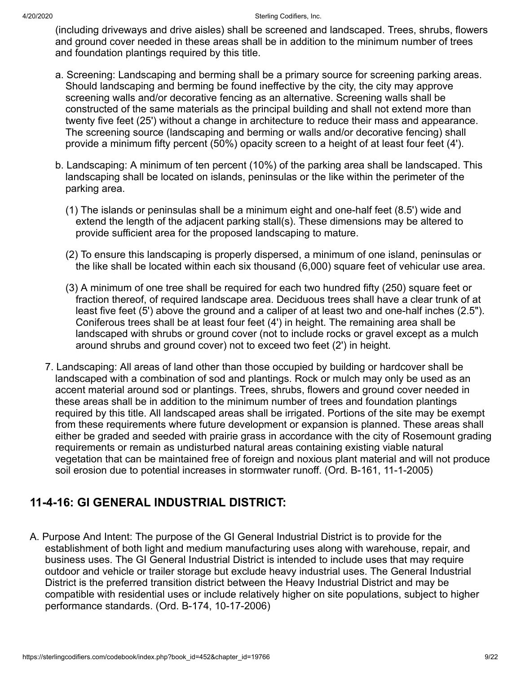(including driveways and drive aisles) shall be screened and landscaped. Trees, shrubs, flowers and ground cover needed in these areas shall be in addition to the minimum number of trees and foundation plantings required by this title.

- a. Screening: Landscaping and berming shall be a primary source for screening parking areas. Should landscaping and berming be found ineffective by the city, the city may approve screening walls and/or decorative fencing as an alternative. Screening walls shall be constructed of the same materials as the principal building and shall not extend more than twenty five feet (25') without a change in architecture to reduce their mass and appearance. The screening source (landscaping and berming or walls and/or decorative fencing) shall provide a minimum fifty percent (50%) opacity screen to a height of at least four feet (4').
- b. Landscaping: A minimum of ten percent (10%) of the parking area shall be landscaped. This landscaping shall be located on islands, peninsulas or the like within the perimeter of the parking area.
	- (1) The islands or peninsulas shall be a minimum eight and one-half feet (8.5') wide and extend the length of the adjacent parking stall(s). These dimensions may be altered to provide sufficient area for the proposed landscaping to mature.
	- (2) To ensure this landscaping is properly dispersed, a minimum of one island, peninsulas or the like shall be located within each six thousand (6,000) square feet of vehicular use area.
	- (3) A minimum of one tree shall be required for each two hundred fifty (250) square feet or fraction thereof, of required landscape area. Deciduous trees shall have a clear trunk of at least five feet (5') above the ground and a caliper of at least two and one-half inches (2.5"). Coniferous trees shall be at least four feet (4') in height. The remaining area shall be landscaped with shrubs or ground cover (not to include rocks or gravel except as a mulch around shrubs and ground cover) not to exceed two feet (2') in height.
- 7. Landscaping: All areas of land other than those occupied by building or hardcover shall be landscaped with a combination of sod and plantings. Rock or mulch may only be used as an accent material around sod or plantings. Trees, shrubs, flowers and ground cover needed in these areas shall be in addition to the minimum number of trees and foundation plantings required by this title. All landscaped areas shall be irrigated. Portions of the site may be exempt from these requirements where future development or expansion is planned. These areas shall either be graded and seeded with prairie grass in accordance with the city of Rosemount grading requirements or remain as undisturbed natural areas containing existing viable natural vegetation that can be maintained free of foreign and noxious plant material and will not produce soil erosion due to potential increases in stormwater runoff. (Ord. B-161, 11-1-2005)

# **11-4-16: GI GENERAL INDUSTRIAL DISTRICT:**

A. Purpose And Intent: The purpose of the GI General Industrial District is to provide for the establishment of both light and medium manufacturing uses along with warehouse, repair, and business uses. The GI General Industrial District is intended to include uses that may require outdoor and vehicle or trailer storage but exclude heavy industrial uses. The General Industrial District is the preferred transition district between the Heavy Industrial District and may be compatible with residential uses or include relatively higher on site populations, subject to higher performance standards. (Ord. B-174, 10-17-2006)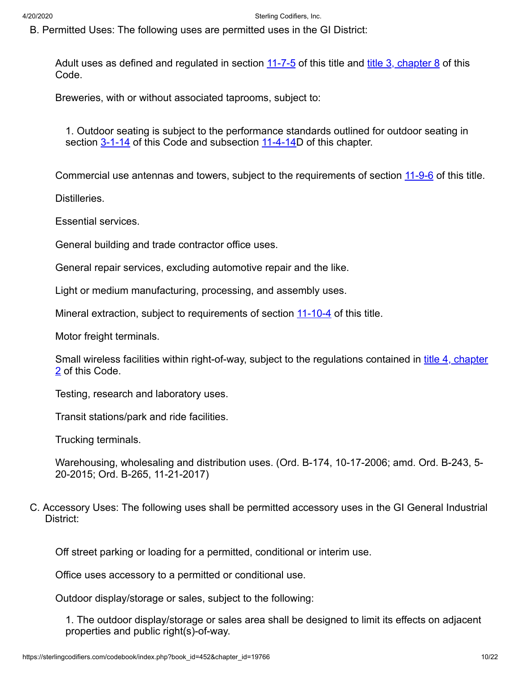B. Permitted Uses: The following uses are permitted uses in the GI District:

Adult uses as defined and regulated in section <u>11-7-5</u> of this title and <u>[title 3, chapter 8](https://sterlingcodifiers.com/codebook/printnow.php?ft=4&find=3-8)</u> of this Code.

Breweries, with or without associated taprooms, subject to:

1. Outdoor seating is subject to the performance standards outlined for outdoor seating in section [3-1-14](https://sterlingcodifiers.com/codebook/printnow.php?ft=3&find=3-1-14) of this Code and subsection [11-4-14](https://sterlingcodifiers.com/codebook/printnow.php?ft=3&find=11-4-14)D of this chapter.

Commercial use antennas and towers, subject to the requirements of section [11-9-6](https://sterlingcodifiers.com/codebook/printnow.php?ft=3&find=11-9-6) of this title.

Distilleries.

Essential services.

General building and trade contractor office uses.

General repair services, excluding automotive repair and the like.

Light or medium manufacturing, processing, and assembly uses.

Mineral extraction, subject to requirements of section [11-10-4](https://sterlingcodifiers.com/codebook/printnow.php?ft=3&find=11-10-4) of this title.

Motor freight terminals.

[Small wireless facilities within right-of-way, subject to the regulations contained in title 4, chapter](https://sterlingcodifiers.com/codebook/printnow.php?ft=4&find=4-2) 2 of this Code.

Testing, research and laboratory uses.

Transit stations/park and ride facilities.

Trucking terminals.

Warehousing, wholesaling and distribution uses. (Ord. B-174, 10-17-2006; amd. Ord. B-243, 5- 20-2015; Ord. B-265, 11-21-2017)

C. Accessory Uses: The following uses shall be permitted accessory uses in the GI General Industrial District:

Off street parking or loading for a permitted, conditional or interim use.

Office uses accessory to a permitted or conditional use.

Outdoor display/storage or sales, subject to the following:

1. The outdoor display/storage or sales area shall be designed to limit its effects on adjacent properties and public right(s)-of-way.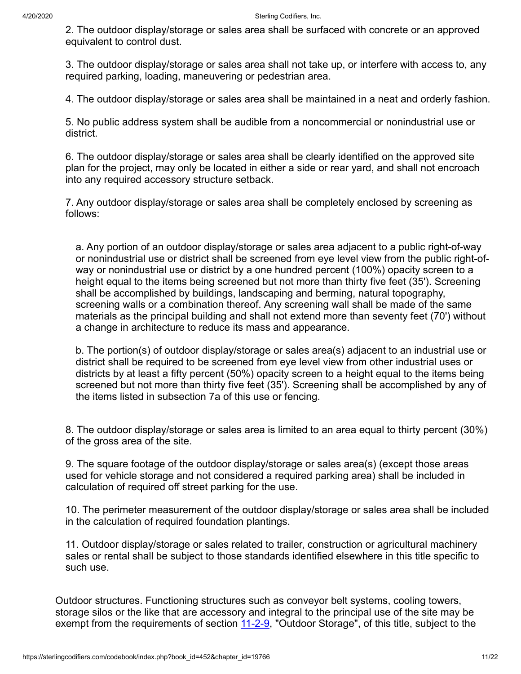2. The outdoor display/storage or sales area shall be surfaced with concrete or an approved equivalent to control dust.

3. The outdoor display/storage or sales area shall not take up, or interfere with access to, any required parking, loading, maneuvering or pedestrian area.

4. The outdoor display/storage or sales area shall be maintained in a neat and orderly fashion.

5. No public address system shall be audible from a noncommercial or nonindustrial use or district.

6. The outdoor display/storage or sales area shall be clearly identified on the approved site plan for the project, may only be located in either a side or rear yard, and shall not encroach into any required accessory structure setback.

7. Any outdoor display/storage or sales area shall be completely enclosed by screening as follows:

a. Any portion of an outdoor display/storage or sales area adjacent to a public right-of-way or nonindustrial use or district shall be screened from eye level view from the public right-ofway or nonindustrial use or district by a one hundred percent (100%) opacity screen to a height equal to the items being screened but not more than thirty five feet (35'). Screening shall be accomplished by buildings, landscaping and berming, natural topography, screening walls or a combination thereof. Any screening wall shall be made of the same materials as the principal building and shall not extend more than seventy feet (70') without a change in architecture to reduce its mass and appearance.

b. The portion(s) of outdoor display/storage or sales area(s) adjacent to an industrial use or district shall be required to be screened from eye level view from other industrial uses or districts by at least a fifty percent (50%) opacity screen to a height equal to the items being screened but not more than thirty five feet (35'). Screening shall be accomplished by any of the items listed in subsection 7a of this use or fencing.

8. The outdoor display/storage or sales area is limited to an area equal to thirty percent (30%) of the gross area of the site.

9. The square footage of the outdoor display/storage or sales area(s) (except those areas used for vehicle storage and not considered a required parking area) shall be included in calculation of required off street parking for the use.

10. The perimeter measurement of the outdoor display/storage or sales area shall be included in the calculation of required foundation plantings.

11. Outdoor display/storage or sales related to trailer, construction or agricultural machinery sales or rental shall be subject to those standards identified elsewhere in this title specific to such use.

Outdoor structures. Functioning structures such as conveyor belt systems, cooling towers, storage silos or the like that are accessory and integral to the principal use of the site may be exempt from the requirements of section [11-2-9,](https://sterlingcodifiers.com/codebook/printnow.php?ft=3&find=11-2-9) "Outdoor Storage", of this title, subject to the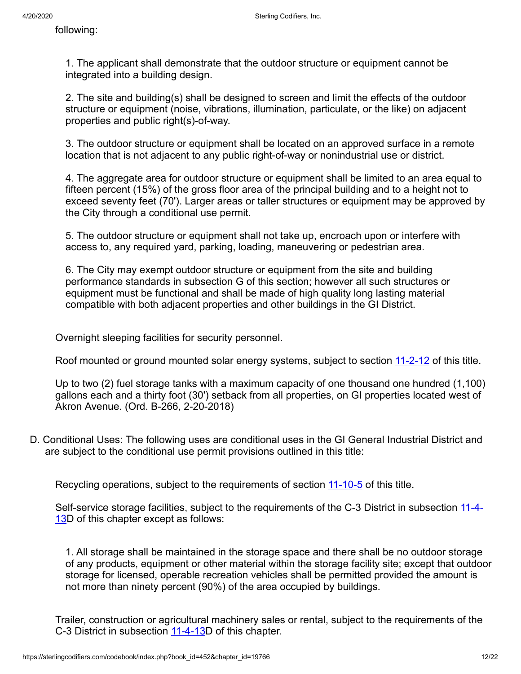following:

1. The applicant shall demonstrate that the outdoor structure or equipment cannot be integrated into a building design.

2. The site and building(s) shall be designed to screen and limit the effects of the outdoor structure or equipment (noise, vibrations, illumination, particulate, or the like) on adjacent properties and public right(s)-of-way.

3. The outdoor structure or equipment shall be located on an approved surface in a remote location that is not adjacent to any public right-of-way or nonindustrial use or district.

4. The aggregate area for outdoor structure or equipment shall be limited to an area equal to fifteen percent (15%) of the gross floor area of the principal building and to a height not to exceed seventy feet (70'). Larger areas or taller structures or equipment may be approved by the City through a conditional use permit.

5. The outdoor structure or equipment shall not take up, encroach upon or interfere with access to, any required yard, parking, loading, maneuvering or pedestrian area.

6. The City may exempt outdoor structure or equipment from the site and building performance standards in subsection G of this section; however all such structures or equipment must be functional and shall be made of high quality long lasting material compatible with both adjacent properties and other buildings in the GI District.

Overnight sleeping facilities for security personnel.

Roof mounted or ground mounted solar energy systems, subject to section [11-2-12](https://sterlingcodifiers.com/codebook/printnow.php?ft=3&find=11-2-12) of this title.

Up to two (2) fuel storage tanks with a maximum capacity of one thousand one hundred (1,100) gallons each and a thirty foot (30') setback from all properties, on GI properties located west of Akron Avenue. (Ord. B-266, 2-20-2018)

D. Conditional Uses: The following uses are conditional uses in the GI General Industrial District and are subject to the conditional use permit provisions outlined in this title:

Recycling operations, subject to the requirements of section [11-10-5](https://sterlingcodifiers.com/codebook/printnow.php?ft=3&find=11-10-5) of this title.

[Self-service storage facilities, subject to the requirements of the C-3 District in subsection 11-4-](https://sterlingcodifiers.com/codebook/printnow.php?ft=3&find=11-4-13) 13D of this chapter except as follows:

1. All storage shall be maintained in the storage space and there shall be no outdoor storage of any products, equipment or other material within the storage facility site; except that outdoor storage for licensed, operable recreation vehicles shall be permitted provided the amount is not more than ninety percent (90%) of the area occupied by buildings.

Trailer, construction or agricultural machinery sales or rental, subject to the requirements of the C-3 District in subsection [11-4-13](https://sterlingcodifiers.com/codebook/printnow.php?ft=3&find=11-4-13)D of this chapter.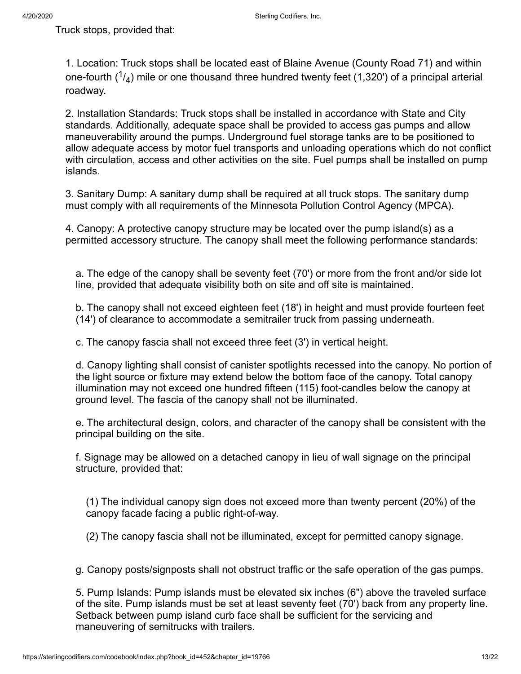Truck stops, provided that:

1. Location: Truck stops shall be located east of Blaine Avenue (County Road 71) and within one-fourth ( $^{1}\!/\!_{4}$ ) mile or one thousand three hundred twenty feet (1,320') of a principal arterial roadway.

2. Installation Standards: Truck stops shall be installed in accordance with State and City standards. Additionally, adequate space shall be provided to access gas pumps and allow maneuverability around the pumps. Underground fuel storage tanks are to be positioned to allow adequate access by motor fuel transports and unloading operations which do not conflict with circulation, access and other activities on the site. Fuel pumps shall be installed on pump islands.

3. Sanitary Dump: A sanitary dump shall be required at all truck stops. The sanitary dump must comply with all requirements of the Minnesota Pollution Control Agency (MPCA).

4. Canopy: A protective canopy structure may be located over the pump island(s) as a permitted accessory structure. The canopy shall meet the following performance standards:

a. The edge of the canopy shall be seventy feet (70') or more from the front and/or side lot line, provided that adequate visibility both on site and off site is maintained.

b. The canopy shall not exceed eighteen feet (18') in height and must provide fourteen feet (14') of clearance to accommodate a semitrailer truck from passing underneath.

c. The canopy fascia shall not exceed three feet (3') in vertical height.

d. Canopy lighting shall consist of canister spotlights recessed into the canopy. No portion of the light source or fixture may extend below the bottom face of the canopy. Total canopy illumination may not exceed one hundred fifteen (115) foot-candles below the canopy at ground level. The fascia of the canopy shall not be illuminated.

e. The architectural design, colors, and character of the canopy shall be consistent with the principal building on the site.

f. Signage may be allowed on a detached canopy in lieu of wall signage on the principal structure, provided that:

(1) The individual canopy sign does not exceed more than twenty percent (20%) of the canopy facade facing a public right-of-way.

(2) The canopy fascia shall not be illuminated, except for permitted canopy signage.

g. Canopy posts/signposts shall not obstruct traffic or the safe operation of the gas pumps.

5. Pump Islands: Pump islands must be elevated six inches (6") above the traveled surface of the site. Pump islands must be set at least seventy feet (70') back from any property line. Setback between pump island curb face shall be sufficient for the servicing and maneuvering of semitrucks with trailers.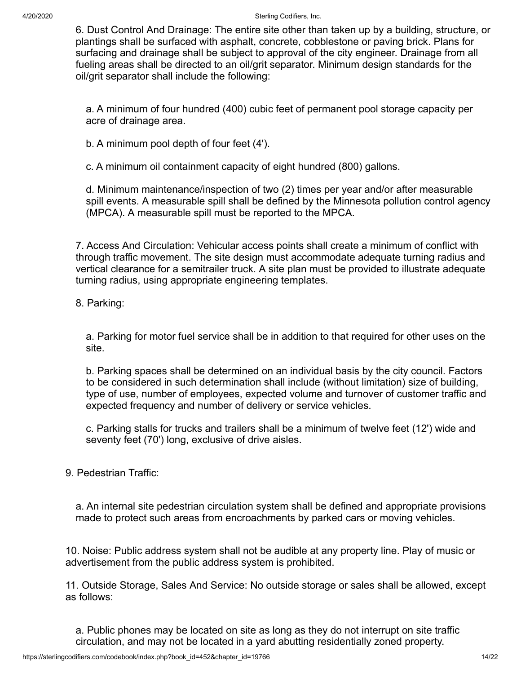6. Dust Control And Drainage: The entire site other than taken up by a building, structure, or plantings shall be surfaced with asphalt, concrete, cobblestone or paving brick. Plans for surfacing and drainage shall be subject to approval of the city engineer. Drainage from all fueling areas shall be directed to an oil/grit separator. Minimum design standards for the oil/grit separator shall include the following:

a. A minimum of four hundred (400) cubic feet of permanent pool storage capacity per acre of drainage area.

b. A minimum pool depth of four feet (4').

c. A minimum oil containment capacity of eight hundred (800) gallons.

d. Minimum maintenance/inspection of two (2) times per year and/or after measurable spill events. A measurable spill shall be defined by the Minnesota pollution control agency (MPCA). A measurable spill must be reported to the MPCA.

7. Access And Circulation: Vehicular access points shall create a minimum of conflict with through traffic movement. The site design must accommodate adequate turning radius and vertical clearance for a semitrailer truck. A site plan must be provided to illustrate adequate turning radius, using appropriate engineering templates.

8. Parking:

a. Parking for motor fuel service shall be in addition to that required for other uses on the site.

b. Parking spaces shall be determined on an individual basis by the city council. Factors to be considered in such determination shall include (without limitation) size of building, type of use, number of employees, expected volume and turnover of customer traffic and expected frequency and number of delivery or service vehicles.

c. Parking stalls for trucks and trailers shall be a minimum of twelve feet (12') wide and seventy feet (70') long, exclusive of drive aisles.

## 9. Pedestrian Traffic:

a. An internal site pedestrian circulation system shall be defined and appropriate provisions made to protect such areas from encroachments by parked cars or moving vehicles.

10. Noise: Public address system shall not be audible at any property line. Play of music or advertisement from the public address system is prohibited.

11. Outside Storage, Sales And Service: No outside storage or sales shall be allowed, except as follows:

a. Public phones may be located on site as long as they do not interrupt on site traffic circulation, and may not be located in a yard abutting residentially zoned property.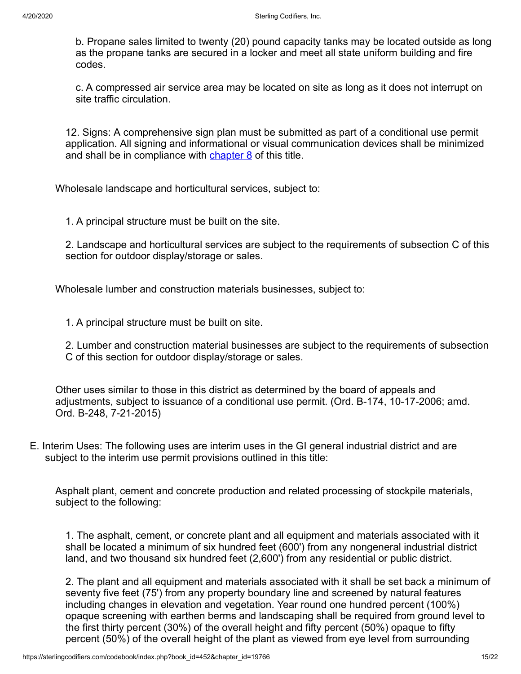b. Propane sales limited to twenty (20) pound capacity tanks may be located outside as long as the propane tanks are secured in a locker and meet all state uniform building and fire codes.

c. A compressed air service area may be located on site as long as it does not interrupt on site traffic circulation.

12. Signs: A comprehensive sign plan must be submitted as part of a conditional use permit application. All signing and informational or visual communication devices shall be minimized and shall be in compliance with [chapter 8](https://sterlingcodifiers.com/codebook/printnow.php?ft=2&find=8) of this title.

Wholesale landscape and horticultural services, subject to:

1. A principal structure must be built on the site.

2. Landscape and horticultural services are subject to the requirements of subsection C of this section for outdoor display/storage or sales.

Wholesale lumber and construction materials businesses, subject to:

1. A principal structure must be built on site.

2. Lumber and construction material businesses are subject to the requirements of subsection C of this section for outdoor display/storage or sales.

Other uses similar to those in this district as determined by the board of appeals and adjustments, subject to issuance of a conditional use permit. (Ord. B-174, 10-17-2006; amd. Ord. B-248, 7-21-2015)

E. Interim Uses: The following uses are interim uses in the GI general industrial district and are subject to the interim use permit provisions outlined in this title:

Asphalt plant, cement and concrete production and related processing of stockpile materials, subject to the following:

1. The asphalt, cement, or concrete plant and all equipment and materials associated with it shall be located a minimum of six hundred feet (600') from any nongeneral industrial district land, and two thousand six hundred feet (2,600') from any residential or public district.

2. The plant and all equipment and materials associated with it shall be set back a minimum of seventy five feet (75') from any property boundary line and screened by natural features including changes in elevation and vegetation. Year round one hundred percent (100%) opaque screening with earthen berms and landscaping shall be required from ground level to the first thirty percent (30%) of the overall height and fifty percent (50%) opaque to fifty percent (50%) of the overall height of the plant as viewed from eye level from surrounding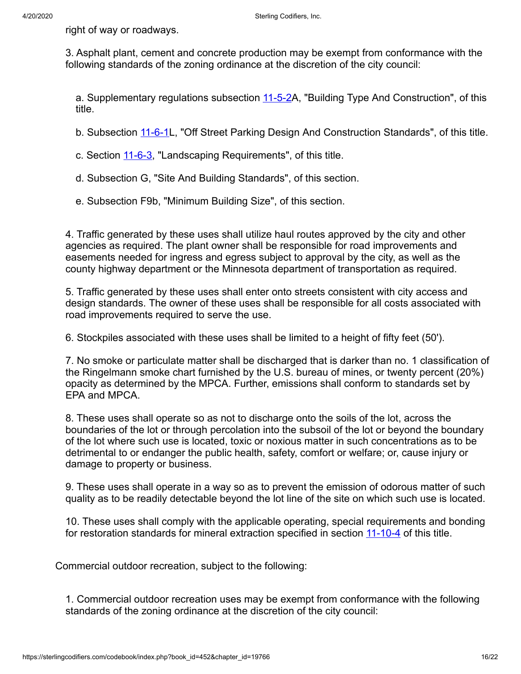right of way or roadways.

3. Asphalt plant, cement and concrete production may be exempt from conformance with the following standards of the zoning ordinance at the discretion of the city council:

a. Supplementary regulations subsection [11-5-2A](https://sterlingcodifiers.com/codebook/printnow.php?ft=3&find=11-5-2), "Building Type And Construction", of this title.

b. Subsection [11-6-1](https://sterlingcodifiers.com/codebook/printnow.php?ft=3&find=11-6-1)L, "Off Street Parking Design And Construction Standards", of this title.

c. Section [11-6-3,](https://sterlingcodifiers.com/codebook/printnow.php?ft=3&find=11-6-3) "Landscaping Requirements", of this title.

- d. Subsection G, "Site And Building Standards", of this section.
- e. Subsection F9b, "Minimum Building Size", of this section.

4. Traffic generated by these uses shall utilize haul routes approved by the city and other agencies as required. The plant owner shall be responsible for road improvements and easements needed for ingress and egress subject to approval by the city, as well as the county highway department or the Minnesota department of transportation as required.

5. Traffic generated by these uses shall enter onto streets consistent with city access and design standards. The owner of these uses shall be responsible for all costs associated with road improvements required to serve the use.

6. Stockpiles associated with these uses shall be limited to a height of fifty feet (50').

7. No smoke or particulate matter shall be discharged that is darker than no. 1 classification of the Ringelmann smoke chart furnished by the U.S. bureau of mines, or twenty percent (20%) opacity as determined by the MPCA. Further, emissions shall conform to standards set by EPA and MPCA.

8. These uses shall operate so as not to discharge onto the soils of the lot, across the boundaries of the lot or through percolation into the subsoil of the lot or beyond the boundary of the lot where such use is located, toxic or noxious matter in such concentrations as to be detrimental to or endanger the public health, safety, comfort or welfare; or, cause injury or damage to property or business.

9. These uses shall operate in a way so as to prevent the emission of odorous matter of such quality as to be readily detectable beyond the lot line of the site on which such use is located.

10. These uses shall comply with the applicable operating, special requirements and bonding for restoration standards for mineral extraction specified in section [11-10-4](https://sterlingcodifiers.com/codebook/printnow.php?ft=3&find=11-10-4) of this title.

Commercial outdoor recreation, subject to the following:

1. Commercial outdoor recreation uses may be exempt from conformance with the following standards of the zoning ordinance at the discretion of the city council: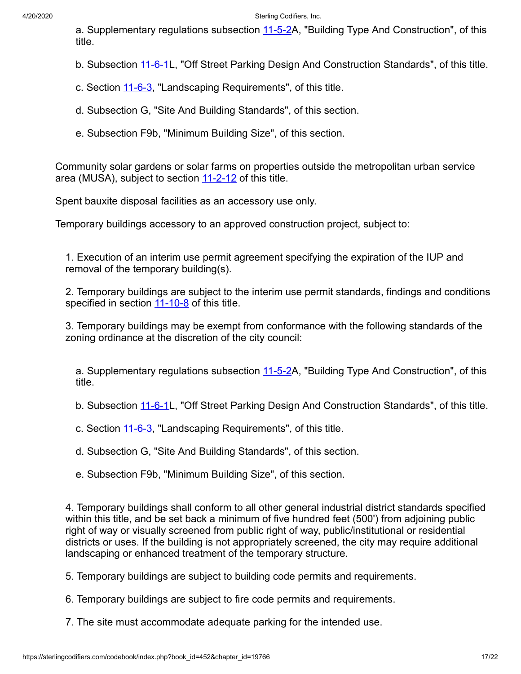a. Supplementary regulations subsection [11-5-2A](https://sterlingcodifiers.com/codebook/printnow.php?ft=3&find=11-5-2), "Building Type And Construction", of this title.

b. Subsection [11-6-1](https://sterlingcodifiers.com/codebook/printnow.php?ft=3&find=11-6-1)L, "Off Street Parking Design And Construction Standards", of this title.

c. Section [11-6-3,](https://sterlingcodifiers.com/codebook/printnow.php?ft=3&find=11-6-3) "Landscaping Requirements", of this title.

- d. Subsection G, "Site And Building Standards", of this section.
- e. Subsection F9b, "Minimum Building Size", of this section.

Community solar gardens or solar farms on properties outside the metropolitan urban service area (MUSA), subject to section [11-2-12](https://sterlingcodifiers.com/codebook/printnow.php?ft=3&find=11-2-12) of this title.

Spent bauxite disposal facilities as an accessory use only.

Temporary buildings accessory to an approved construction project, subject to:

1. Execution of an interim use permit agreement specifying the expiration of the IUP and removal of the temporary building(s).

2. Temporary buildings are subject to the interim use permit standards, findings and conditions specified in section [11-10-8](https://sterlingcodifiers.com/codebook/printnow.php?ft=3&find=11-10-8) of this title.

3. Temporary buildings may be exempt from conformance with the following standards of the zoning ordinance at the discretion of the city council:

a. Supplementary regulations subsection [11-5-2A](https://sterlingcodifiers.com/codebook/printnow.php?ft=3&find=11-5-2), "Building Type And Construction", of this title.

b. Subsection [11-6-1](https://sterlingcodifiers.com/codebook/printnow.php?ft=3&find=11-6-1)L, "Off Street Parking Design And Construction Standards", of this title.

c. Section [11-6-3,](https://sterlingcodifiers.com/codebook/printnow.php?ft=3&find=11-6-3) "Landscaping Requirements", of this title.

d. Subsection G, "Site And Building Standards", of this section.

e. Subsection F9b, "Minimum Building Size", of this section.

4. Temporary buildings shall conform to all other general industrial district standards specified within this title, and be set back a minimum of five hundred feet (500') from adjoining public right of way or visually screened from public right of way, public/institutional or residential districts or uses. If the building is not appropriately screened, the city may require additional landscaping or enhanced treatment of the temporary structure.

5. Temporary buildings are subject to building code permits and requirements.

6. Temporary buildings are subject to fire code permits and requirements.

7. The site must accommodate adequate parking for the intended use.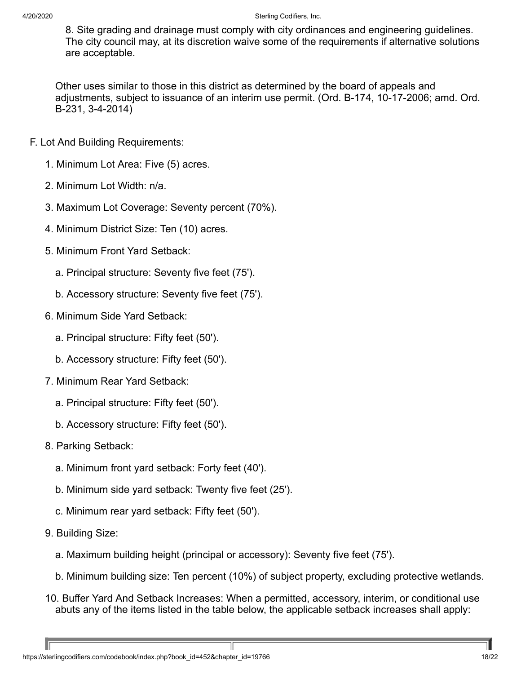8. Site grading and drainage must comply with city ordinances and engineering guidelines. The city council may, at its discretion waive some of the requirements if alternative solutions are acceptable.

Other uses similar to those in this district as determined by the board of appeals and adjustments, subject to issuance of an interim use permit. (Ord. B-174, 10-17-2006; amd. Ord. B-231, 3-4-2014)

- F. Lot And Building Requirements:
	- 1. Minimum Lot Area: Five (5) acres.
	- 2. Minimum Lot Width: n/a.
	- 3. Maximum Lot Coverage: Seventy percent (70%).
	- 4. Minimum District Size: Ten (10) acres.
	- 5. Minimum Front Yard Setback:
		- a. Principal structure: Seventy five feet (75').
		- b. Accessory structure: Seventy five feet (75').
	- 6. Minimum Side Yard Setback:
		- a. Principal structure: Fifty feet (50').
		- b. Accessory structure: Fifty feet (50').
	- 7. Minimum Rear Yard Setback:
		- a. Principal structure: Fifty feet (50').
		- b. Accessory structure: Fifty feet (50').
	- 8. Parking Setback:
		- a. Minimum front yard setback: Forty feet (40').
		- b. Minimum side yard setback: Twenty five feet (25').
		- c. Minimum rear yard setback: Fifty feet (50').
	- 9. Building Size:
		- a. Maximum building height (principal or accessory): Seventy five feet (75').
		- b. Minimum building size: Ten percent (10%) of subject property, excluding protective wetlands.
	- 10. Buffer Yard And Setback Increases: When a permitted, accessory, interim, or conditional use abuts any of the items listed in the table below, the applicable setback increases shall apply: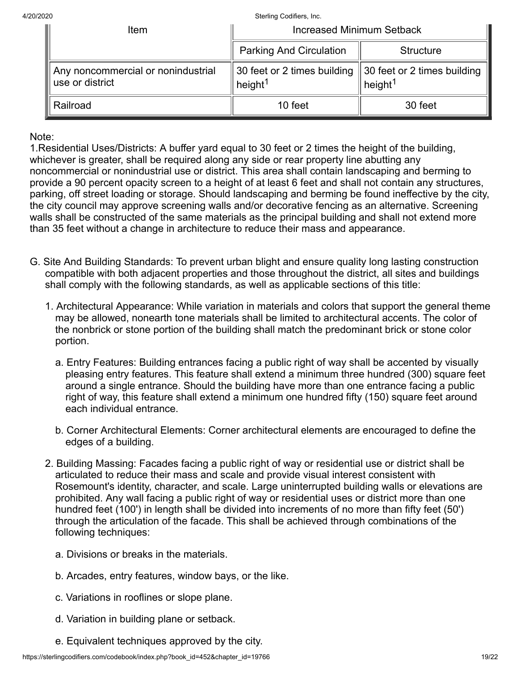| ltem                                                  | <b>Increased Minimum Setback</b>                   |                                                                |
|-------------------------------------------------------|----------------------------------------------------|----------------------------------------------------------------|
|                                                       | <b>Parking And Circulation</b>                     | <b>Structure</b>                                               |
| Any noncommercial or nonindustrial<br>use or district | 30 feet or 2 times building<br>height <sup>1</sup> | $\parallel$ 30 feet or 2 times building<br>height <sup>1</sup> |
| Railroad                                              | 10 feet                                            | 30 feet                                                        |

Note:

1.Residential Uses/Districts: A buffer yard equal to 30 feet or 2 times the height of the building, whichever is greater, shall be required along any side or rear property line abutting any noncommercial or nonindustrial use or district. This area shall contain landscaping and berming to provide a 90 percent opacity screen to a height of at least 6 feet and shall not contain any structures, parking, off street loading or storage. Should landscaping and berming be found ineffective by the city, the city council may approve screening walls and/or decorative fencing as an alternative. Screening walls shall be constructed of the same materials as the principal building and shall not extend more than 35 feet without a change in architecture to reduce their mass and appearance.

- G. Site And Building Standards: To prevent urban blight and ensure quality long lasting construction compatible with both adjacent properties and those throughout the district, all sites and buildings shall comply with the following standards, as well as applicable sections of this title:
	- 1. Architectural Appearance: While variation in materials and colors that support the general theme may be allowed, nonearth tone materials shall be limited to architectural accents. The color of the nonbrick or stone portion of the building shall match the predominant brick or stone color portion.
		- a. Entry Features: Building entrances facing a public right of way shall be accented by visually pleasing entry features. This feature shall extend a minimum three hundred (300) square feet around a single entrance. Should the building have more than one entrance facing a public right of way, this feature shall extend a minimum one hundred fifty (150) square feet around each individual entrance.
		- b. Corner Architectural Elements: Corner architectural elements are encouraged to define the edges of a building.
	- 2. Building Massing: Facades facing a public right of way or residential use or district shall be articulated to reduce their mass and scale and provide visual interest consistent with Rosemount's identity, character, and scale. Large uninterrupted building walls or elevations are prohibited. Any wall facing a public right of way or residential uses or district more than one hundred feet (100') in length shall be divided into increments of no more than fifty feet (50') through the articulation of the facade. This shall be achieved through combinations of the following techniques:
		- a. Divisions or breaks in the materials.
		- b. Arcades, entry features, window bays, or the like.
		- c. Variations in rooflines or slope plane.
		- d. Variation in building plane or setback.
		- e. Equivalent techniques approved by the city.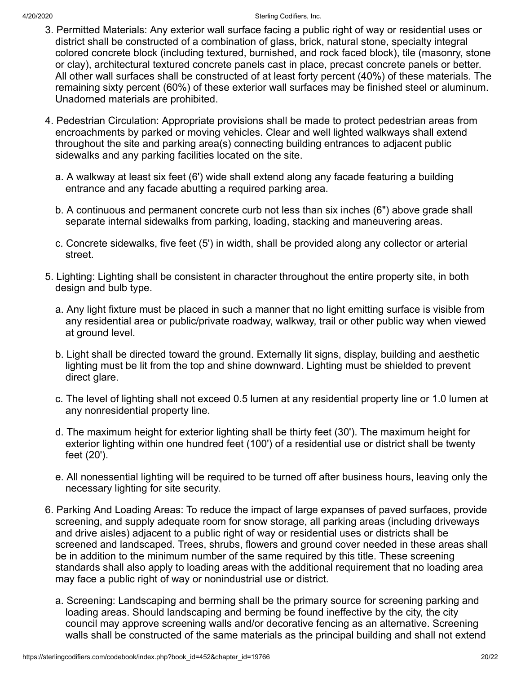- 3. Permitted Materials: Any exterior wall surface facing a public right of way or residential uses or district shall be constructed of a combination of glass, brick, natural stone, specialty integral colored concrete block (including textured, burnished, and rock faced block), tile (masonry, stone or clay), architectural textured concrete panels cast in place, precast concrete panels or better. All other wall surfaces shall be constructed of at least forty percent (40%) of these materials. The remaining sixty percent (60%) of these exterior wall surfaces may be finished steel or aluminum. Unadorned materials are prohibited.
- 4. Pedestrian Circulation: Appropriate provisions shall be made to protect pedestrian areas from encroachments by parked or moving vehicles. Clear and well lighted walkways shall extend throughout the site and parking area(s) connecting building entrances to adjacent public sidewalks and any parking facilities located on the site.
	- a. A walkway at least six feet (6') wide shall extend along any facade featuring a building entrance and any facade abutting a required parking area.
	- b. A continuous and permanent concrete curb not less than six inches (6") above grade shall separate internal sidewalks from parking, loading, stacking and maneuvering areas.
	- c. Concrete sidewalks, five feet (5') in width, shall be provided along any collector or arterial street.
- 5. Lighting: Lighting shall be consistent in character throughout the entire property site, in both design and bulb type.
	- a. Any light fixture must be placed in such a manner that no light emitting surface is visible from any residential area or public/private roadway, walkway, trail or other public way when viewed at ground level.
	- b. Light shall be directed toward the ground. Externally lit signs, display, building and aesthetic lighting must be lit from the top and shine downward. Lighting must be shielded to prevent direct glare.
	- c. The level of lighting shall not exceed 0.5 lumen at any residential property line or 1.0 lumen at any nonresidential property line.
	- d. The maximum height for exterior lighting shall be thirty feet (30'). The maximum height for exterior lighting within one hundred feet (100') of a residential use or district shall be twenty feet (20').
	- e. All nonessential lighting will be required to be turned off after business hours, leaving only the necessary lighting for site security.
- 6. Parking And Loading Areas: To reduce the impact of large expanses of paved surfaces, provide screening, and supply adequate room for snow storage, all parking areas (including driveways and drive aisles) adjacent to a public right of way or residential uses or districts shall be screened and landscaped. Trees, shrubs, flowers and ground cover needed in these areas shall be in addition to the minimum number of the same required by this title. These screening standards shall also apply to loading areas with the additional requirement that no loading area may face a public right of way or nonindustrial use or district.
	- a. Screening: Landscaping and berming shall be the primary source for screening parking and loading areas. Should landscaping and berming be found ineffective by the city, the city council may approve screening walls and/or decorative fencing as an alternative. Screening walls shall be constructed of the same materials as the principal building and shall not extend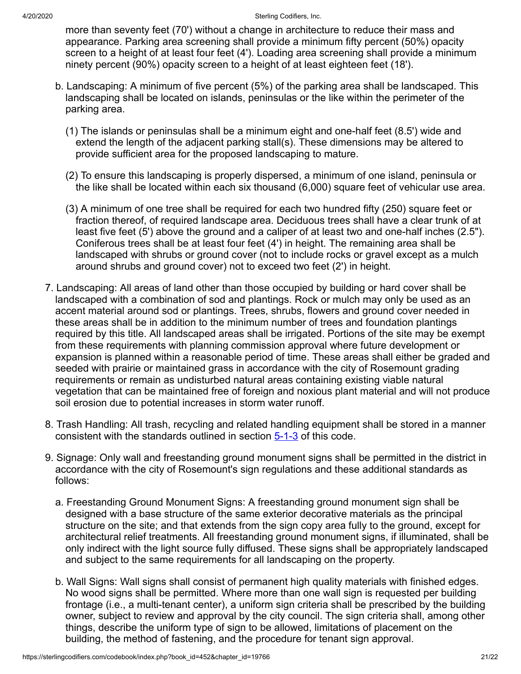more than seventy feet (70') without a change in architecture to reduce their mass and appearance. Parking area screening shall provide a minimum fifty percent (50%) opacity screen to a height of at least four feet (4'). Loading area screening shall provide a minimum ninety percent (90%) opacity screen to a height of at least eighteen feet (18').

- b. Landscaping: A minimum of five percent (5%) of the parking area shall be landscaped. This landscaping shall be located on islands, peninsulas or the like within the perimeter of the parking area.
	- (1) The islands or peninsulas shall be a minimum eight and one-half feet (8.5') wide and extend the length of the adjacent parking stall(s). These dimensions may be altered to provide sufficient area for the proposed landscaping to mature.
	- (2) To ensure this landscaping is properly dispersed, a minimum of one island, peninsula or the like shall be located within each six thousand (6,000) square feet of vehicular use area.
	- (3) A minimum of one tree shall be required for each two hundred fifty (250) square feet or fraction thereof, of required landscape area. Deciduous trees shall have a clear trunk of at least five feet (5') above the ground and a caliper of at least two and one-half inches (2.5"). Coniferous trees shall be at least four feet (4') in height. The remaining area shall be landscaped with shrubs or ground cover (not to include rocks or gravel except as a mulch around shrubs and ground cover) not to exceed two feet (2') in height.
- 7. Landscaping: All areas of land other than those occupied by building or hard cover shall be landscaped with a combination of sod and plantings. Rock or mulch may only be used as an accent material around sod or plantings. Trees, shrubs, flowers and ground cover needed in these areas shall be in addition to the minimum number of trees and foundation plantings required by this title. All landscaped areas shall be irrigated. Portions of the site may be exempt from these requirements with planning commission approval where future development or expansion is planned within a reasonable period of time. These areas shall either be graded and seeded with prairie or maintained grass in accordance with the city of Rosemount grading requirements or remain as undisturbed natural areas containing existing viable natural vegetation that can be maintained free of foreign and noxious plant material and will not produce soil erosion due to potential increases in storm water runoff.
- 8. Trash Handling: All trash, recycling and related handling equipment shall be stored in a manner consistent with the standards outlined in section  $5-1-3$  of this code.
- 9. Signage: Only wall and freestanding ground monument signs shall be permitted in the district in accordance with the city of Rosemount's sign regulations and these additional standards as follows:
	- a. Freestanding Ground Monument Signs: A freestanding ground monument sign shall be designed with a base structure of the same exterior decorative materials as the principal structure on the site; and that extends from the sign copy area fully to the ground, except for architectural relief treatments. All freestanding ground monument signs, if illuminated, shall be only indirect with the light source fully diffused. These signs shall be appropriately landscaped and subject to the same requirements for all landscaping on the property.
	- b. Wall Signs: Wall signs shall consist of permanent high quality materials with finished edges. No wood signs shall be permitted. Where more than one wall sign is requested per building frontage (i.e., a multi-tenant center), a uniform sign criteria shall be prescribed by the building owner, subject to review and approval by the city council. The sign criteria shall, among other things, describe the uniform type of sign to be allowed, limitations of placement on the building, the method of fastening, and the procedure for tenant sign approval.